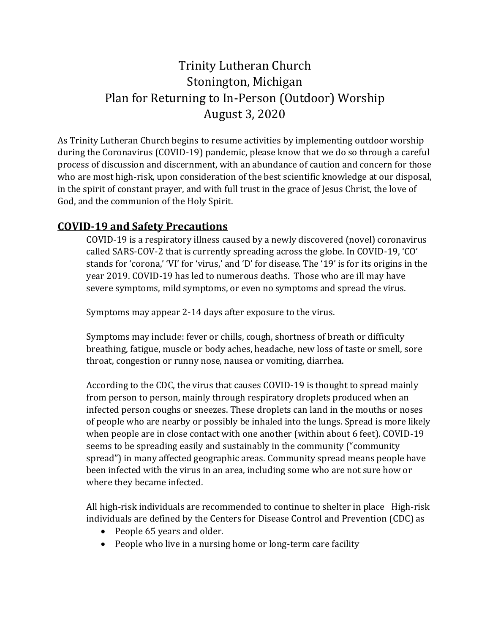# Trinity Lutheran Church Stonington, Michigan Plan for Returning to In-Person (Outdoor) Worship August 3, 2020

As Trinity Lutheran Church begins to resume activities by implementing outdoor worship during the Coronavirus (COVID-19) pandemic, please know that we do so through a careful process of discussion and discernment, with an abundance of caution and concern for those who are most high-risk, upon consideration of the best scientific knowledge at our disposal, in the spirit of constant prayer, and with full trust in the grace of Jesus Christ, the love of God, and the communion of the Holy Spirit.

### **COVID-19 and Safety Precautions**

COVID-19 is a respiratory illness caused by a newly discovered (novel) coronavirus called SARS-COV-2 that is currently spreading across the globe. In COVID-19, 'CO' stands for 'corona,' 'VI' for 'virus,' and 'D' for disease. The '19' is for its origins in the year 2019. COVID-19 has led to numerous deaths. Those who are ill may have severe symptoms, mild symptoms, or even no symptoms and spread the virus.

Symptoms may appear 2-14 days after exposure to the virus.

Symptoms may include: fever or chills, cough, shortness of breath or difficulty breathing, fatigue, muscle or body aches, headache, new loss of taste or smell, sore throat, congestion or runny nose, nausea or vomiting, diarrhea.

According to the CDC, the virus that causes COVID-19 is thought to spread mainly from person to person, mainly through respiratory droplets produced when an infected person coughs or sneezes. These droplets can land in the mouths or noses of people who are nearby or possibly be inhaled into the lungs. Spread is more likely when people are in close contact with one another (within about 6 feet). COVID-19 seems to be spreading easily and sustainably in the community ("community spread") in many affected geographic areas. Community spread means people have been infected with the virus in an area, including some who are not sure how or where they became infected.

All high-risk individuals are recommended to continue to shelter in place High-risk individuals are defined by the Centers for Disease Control and Prevention (CDC) as

- People 65 years and older.
- People who live in a nursing home or long-term care facility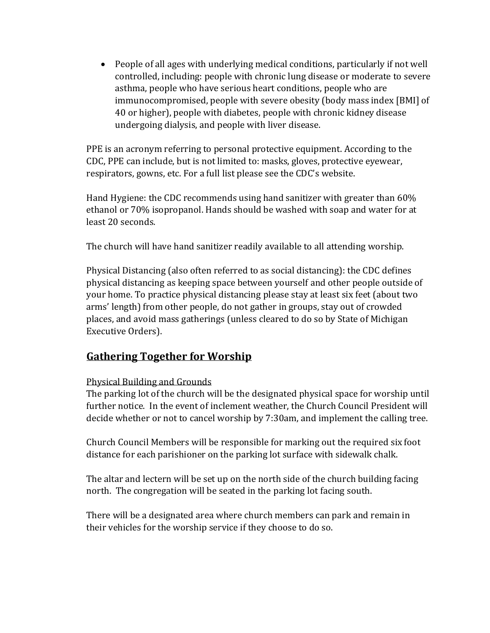• People of all ages with underlying medical conditions, particularly if not well controlled, including: people with chronic lung disease or moderate to severe asthma, people who have serious heart conditions, people who are immunocompromised, people with severe obesity (body mass index [BMI] of 40 or higher), people with diabetes, people with chronic kidney disease undergoing dialysis, and people with liver disease.

PPE is an acronym referring to personal protective equipment. According to the CDC, PPE can include, but is not limited to: masks, gloves, protective eyewear, respirators, gowns, etc. For a full list please see the CDC's website.

Hand Hygiene: the CDC recommends using hand sanitizer with greater than 60% ethanol or 70% isopropanol. Hands should be washed with soap and water for at least 20 seconds.

The church will have hand sanitizer readily available to all attending worship.

Physical Distancing (also often referred to as social distancing): the CDC defines physical distancing as keeping space between yourself and other people outside of your home. To practice physical distancing please stay at least six feet (about two arms' length) from other people, do not gather in groups, stay out of crowded places, and avoid mass gatherings (unless cleared to do so by State of Michigan Executive Orders).

## **Gathering Together for Worship**

#### Physical Building and Grounds

The parking lot of the church will be the designated physical space for worship until further notice. In the event of inclement weather, the Church Council President will decide whether or not to cancel worship by 7:30am, and implement the calling tree.

Church Council Members will be responsible for marking out the required six foot distance for each parishioner on the parking lot surface with sidewalk chalk.

The altar and lectern will be set up on the north side of the church building facing north. The congregation will be seated in the parking lot facing south.

There will be a designated area where church members can park and remain in their vehicles for the worship service if they choose to do so.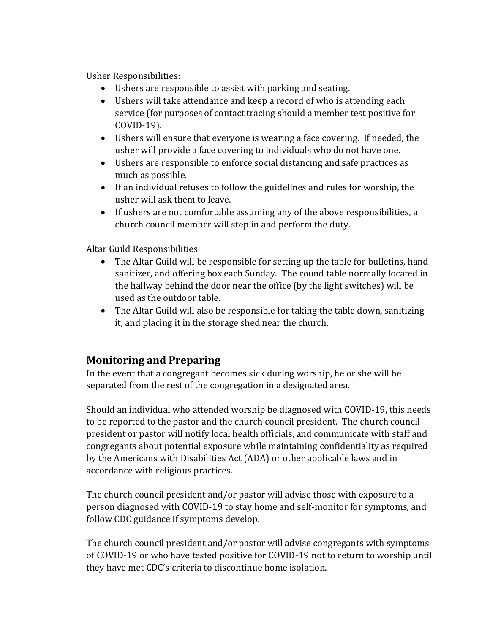Usher Responsibilities:

- Ushers are responsible to assist with parking and seating.
- Ushers will take attendance and keep a record of who is attending each service (for purposes of contact tracing should a member test positive for COVID-19).
- Ushers will ensure that everyone is wearing a face covering. If needed, the usher will provide a face covering to individuals who do not have one.
- Ushers are responsible to enforce social distancing and safe practices as much as possible.
- If an individual refuses to follow the guidelines and rules for worship, the usher will ask them to leave.
- If ushers are not comfortable assuming any of the above responsibilities, a church council member will step in and perform the duty.

### Altar Guild Responsibilities

- The Altar Guild will be responsible for setting up the table for bulletins, hand sanitizer, and offering box each Sunday. The round table normally located in the hallway behind the door near the office (by the light switches) will be used as the outdoor table.
- The Altar Guild will also be responsible for taking the table down, sanitizing it, and placing it in the storage shed near the church.

# **Monitoring and Preparing**

In the event that a congregant becomes sick during worship, he or she will be separated from the rest of the congregation in a designated area.

Should an individual who attended worship be diagnosed with COVID-19, this needs to be reported to the pastor and the church council president. The church council president or pastor will notify local health officials, and communicate with staff and congregants about potential exposure while maintaining confidentiality as required by the Americans with Disabilities Act (ADA) or other applicable laws and in accordance with religious practices.

The church council president and/or pastor will advise those with exposure to a person diagnosed with COVID-19 to stay home and self-monitor for symptoms, and follow CDC guidance if symptoms develop.

The church council president and/or pastor will advise congregants with symptoms of COVID-19 or who have tested positive for COVID-19 not to return to worship until they have met CDC's criteria to discontinue home isolation.